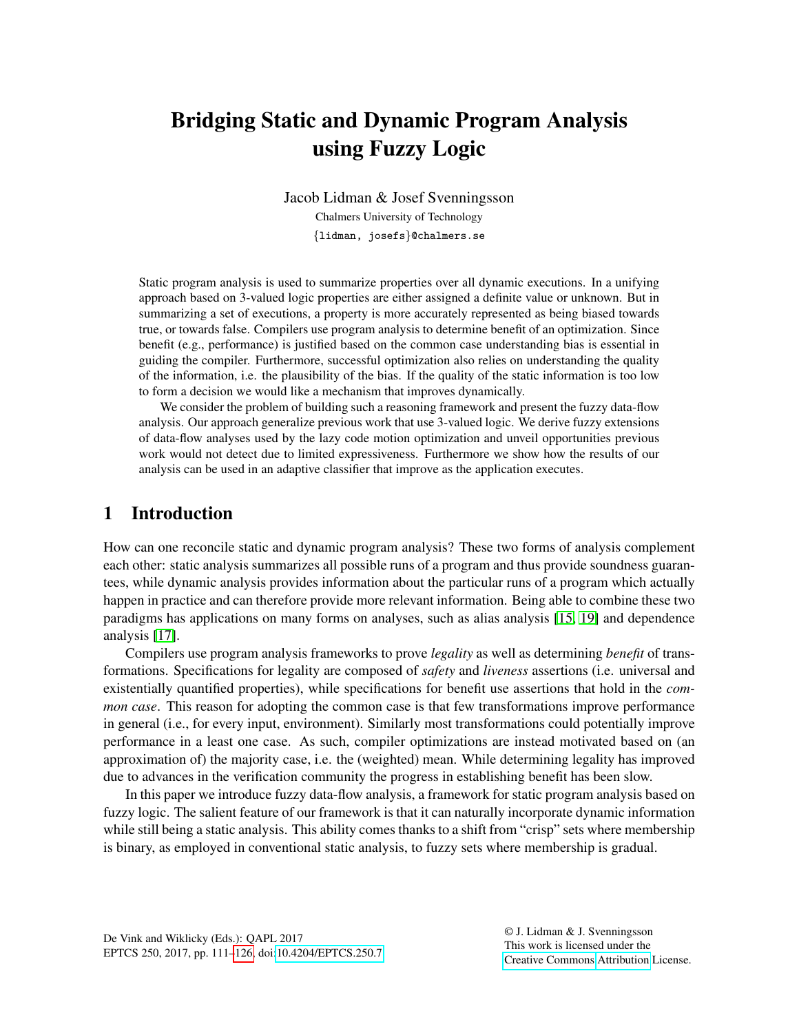# Bridging Static and Dynamic Program Analysis using Fuzzy Logic

Jacob Lidman & Josef Svenningsson Chalmers University of Technology {lidman, josefs}@chalmers.se

Static program analysis is used to summarize properties over all dynamic executions. In a unifying approach based on 3-valued logic properties are either assigned a definite value or unknown. But in summarizing a set of executions, a property is more accurately represented as being biased towards true, or towards false. Compilers use program analysis to determine benefit of an optimization. Since benefit (e.g., performance) is justified based on the common case understanding bias is essential in guiding the compiler. Furthermore, successful optimization also relies on understanding the quality of the information, i.e. the plausibility of the bias. If the quality of the static information is too low to form a decision we would like a mechanism that improves dynamically.

We consider the problem of building such a reasoning framework and present the fuzzy data-flow analysis. Our approach generalize previous work that use 3-valued logic. We derive fuzzy extensions of data-flow analyses used by the lazy code motion optimization and unveil opportunities previous work would not detect due to limited expressiveness. Furthermore we show how the results of our analysis can be used in an adaptive classifier that improve as the application executes.

# 1 Introduction

How can one reconcile static and dynamic program analysis? These two forms of analysis complement each other: static analysis summarizes all possible runs of a program and thus provide soundness guarantees, while dynamic analysis provides information about the particular runs of a program which actually happen in practice and can therefore provide more relevant information. Being able to combine these two paradigms has applications on many forms on analyses, such as alias analysis [\[15,](#page-12-0) [19\]](#page-12-1) and dependence analysis [\[17\]](#page-12-2).

Compilers use program analysis frameworks to prove *legality* as well as determining *benefit* of transformations. Specifications for legality are composed of *safety* and *liveness* assertions (i.e. universal and existentially quantified properties), while specifications for benefit use assertions that hold in the *common case*. This reason for adopting the common case is that few transformations improve performance in general (i.e., for every input, environment). Similarly most transformations could potentially improve performance in a least one case. As such, compiler optimizations are instead motivated based on (an approximation of) the majority case, i.e. the (weighted) mean. While determining legality has improved due to advances in the verification community the progress in establishing benefit has been slow.

In this paper we introduce fuzzy data-flow analysis, a framework for static program analysis based on fuzzy logic. The salient feature of our framework is that it can naturally incorporate dynamic information while still being a static analysis. This ability comes thanks to a shift from "crisp" sets where membership is binary, as employed in conventional static analysis, to fuzzy sets where membership is gradual.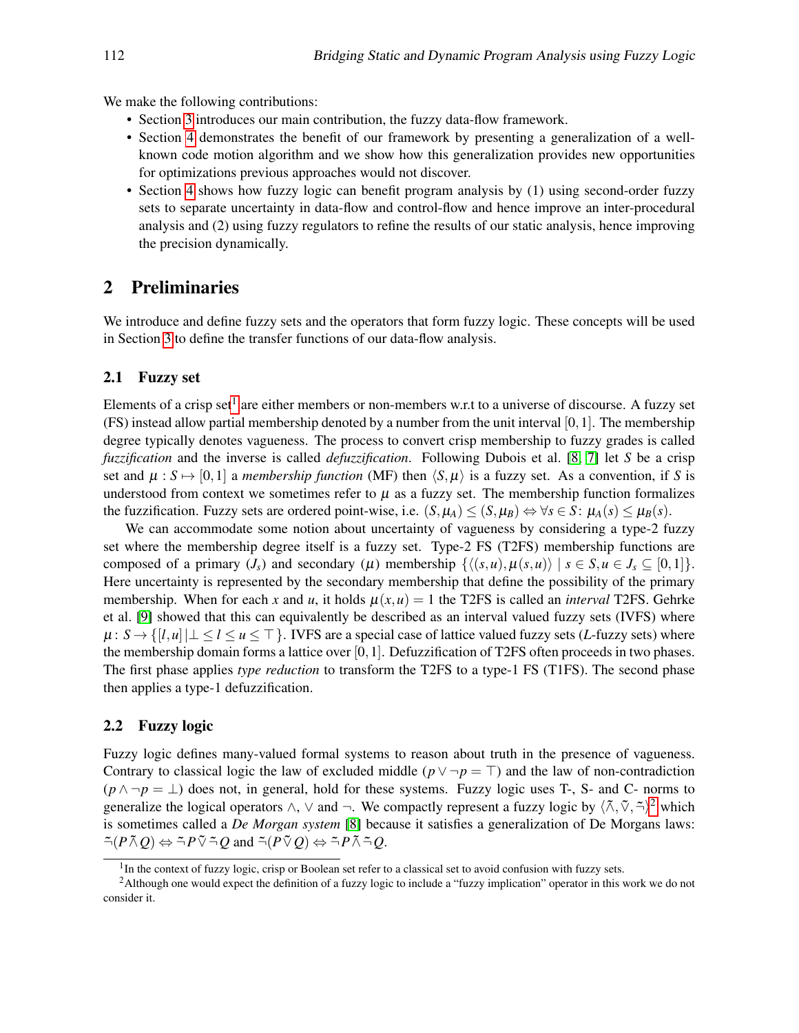We make the following contributions:

- Section [3](#page-2-0) introduces our main contribution, the fuzzy data-flow framework.
- Section [4](#page-4-0) demonstrates the benefit of our framework by presenting a generalization of a wellknown code motion algorithm and we show how this generalization provides new opportunities for optimizations previous approaches would not discover.
- Section [4](#page-4-0) shows how fuzzy logic can benefit program analysis by (1) using second-order fuzzy sets to separate uncertainty in data-flow and control-flow and hence improve an inter-procedural analysis and (2) using fuzzy regulators to refine the results of our static analysis, hence improving the precision dynamically.

## <span id="page-1-2"></span>2 Preliminaries

We introduce and define fuzzy sets and the operators that form fuzzy logic. These concepts will be used in Section [3](#page-2-0) to define the transfer functions of our data-flow analysis.

#### 2.1 Fuzzy set

Elements of a crisp set<sup>[1](#page-1-0)</sup> are either members or non-members w.r.t to a universe of discourse. A fuzzy set (FS) instead allow partial membership denoted by a number from the unit interval  $[0,1]$ . The membership degree typically denotes vagueness. The process to convert crisp membership to fuzzy grades is called *fuzzification* and the inverse is called *defuzzification*. Following Dubois et al. [\[8,](#page-12-3) [7\]](#page-12-4) let *S* be a crisp set and  $\mu : S \mapsto [0,1]$  a *membership function* (MF) then  $\langle S, \mu \rangle$  is a fuzzy set. As a convention, if *S* is understood from context we sometimes refer to  $\mu$  as a fuzzy set. The membership function formalizes the fuzzification. Fuzzy sets are ordered point-wise, i.e.  $(S, \mu_A) \leq (S, \mu_B) \Leftrightarrow \forall s \in S$ :  $\mu_A(s) \leq \mu_B(s)$ .

We can accommodate some notion about uncertainty of vagueness by considering a type-2 fuzzy set where the membership degree itself is a fuzzy set. Type-2 FS (T2FS) membership functions are composed of a primary  $(J_s)$  and secondary  $(\mu)$  membership  $\{\langle (s, u), \mu(s, u) \rangle \mid s \in S, u \in J_s \subseteq [0,1]\}.$ Here uncertainty is represented by the secondary membership that define the possibility of the primary membership. When for each x and u, it holds  $\mu(x, u) = 1$  the T2FS is called an *interval* T2FS. Gehrke et al. [\[9\]](#page-12-5) showed that this can equivalently be described as an interval valued fuzzy sets (IVFS) where  $\mu: S \to \{[l, u] \mid \perp \leq l \leq u \leq \top\}$ . IVFS are a special case of lattice valued fuzzy sets (*L*-fuzzy sets) where the membership domain forms a lattice over [0,1]. Defuzzification of T2FS often proceeds in two phases. The first phase applies *type reduction* to transform the T2FS to a type-1 FS (T1FS). The second phase then applies a type-1 defuzzification.

#### 2.2 Fuzzy logic

Fuzzy logic defines many-valued formal systems to reason about truth in the presence of vagueness. Contrary to classical logic the law of excluded middle ( $p \lor \neg p = \top$ ) and the law of non-contradiction  $(p \land \neg p = \bot)$  does not, in general, hold for these systems. Fuzzy logic uses T-, S- and C- norms to generalize the logical operators  $\wedge$ ,  $\vee$  and  $\neg$ . We compactly represent a fuzzy logic by  $\langle \tilde{\wedge}, \tilde{\vee}, \tilde{\rightarrow} \rangle^2$  $\langle \tilde{\wedge}, \tilde{\vee}, \tilde{\rightarrow} \rangle^2$  which is sometimes called a *De Morgan system* [\[8\]](#page-12-3) because it satisfies a generalization of De Morgans laws:  $\tilde{\neg}(P \tilde{\land} O) \Leftrightarrow \tilde{\neg} P \tilde{\lor} \tilde{\neg} O$  and  $\tilde{\neg}(P \tilde{\lor} O) \Leftrightarrow \tilde{\neg} P \tilde{\land} \tilde{\neg} O$ .

<span id="page-1-1"></span><span id="page-1-0"></span><sup>&</sup>lt;sup>1</sup>In the context of fuzzy logic, crisp or Boolean set refer to a classical set to avoid confusion with fuzzy sets.

<sup>2</sup>Although one would expect the definition of a fuzzy logic to include a "fuzzy implication" operator in this work we do not consider it.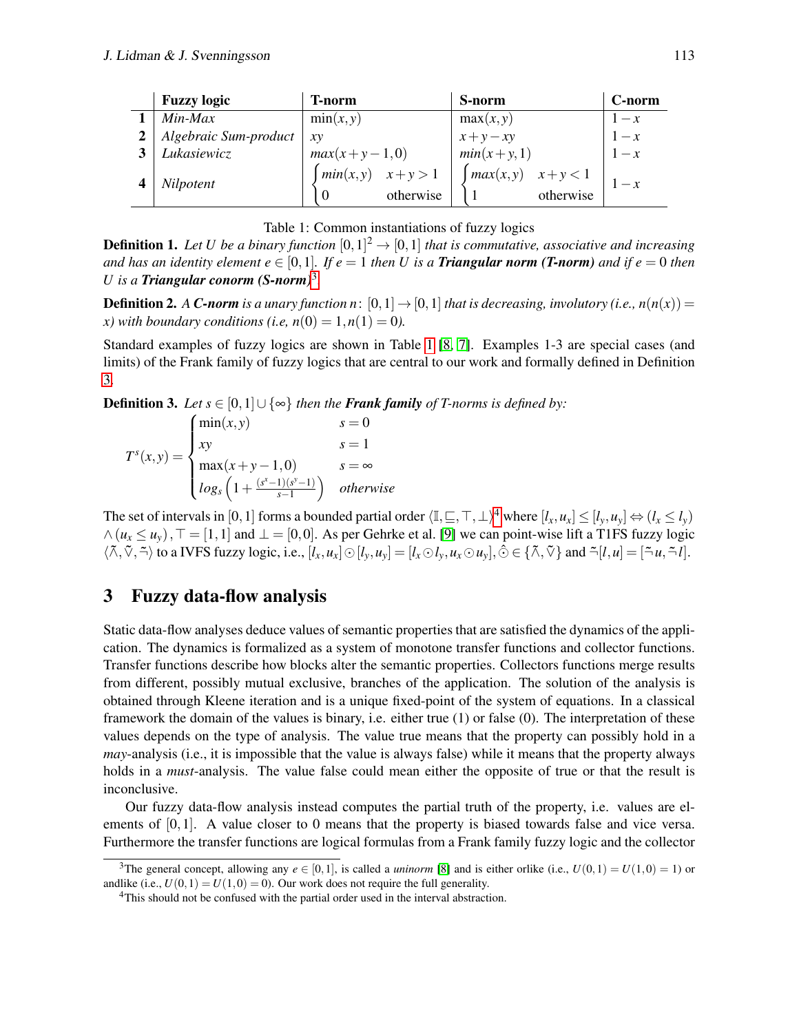<span id="page-2-2"></span>

| <b>Fuzzy logic</b>    | T-norm                               | S-norm                               | C-norm |
|-----------------------|--------------------------------------|--------------------------------------|--------|
| Min-Max               | min(x, y)                            | max(x, y)                            | $1-x$  |
| Algebraic Sum-product | xy                                   | $x+y-xy$<br>$min(x+y,1)$             | $1-x$  |
| Lukasiewicz           | $max(x+y-1,0)$                       |                                      | $1-x$  |
| Nilpotent             | $\int min(x,y)$ $x+y>1$<br>otherwise | $\int max(x,y)$ $x+y<1$<br>otherwise | $1-x$  |

|  | Table 1: Common instantiations of fuzzy logics |  |
|--|------------------------------------------------|--|
|  |                                                |  |

**Definition 1.** Let U be a binary function  $[0,1]^2 \rightarrow [0,1]$  that is commutative, associative and increasing *and has an identity element*  $e \in [0,1]$ *. If*  $e = 1$  *then U is a Triangular norm (T-norm) and if*  $e = 0$  *then U is a Triangular conorm (S-norm)*[3](#page-2-1) *.*

**Definition 2.** *A C-norm is a unary function n*:  $[0,1] \rightarrow [0,1]$  *that is decreasing, involutory (i.e., n(n(x))* = *x*) with boundary conditions (i.e,  $n(0) = 1, n(1) = 0$ ).

Standard examples of fuzzy logics are shown in Table [1](#page-2-2) [\[8,](#page-12-3) [7\]](#page-12-4). Examples 1-3 are special cases (and limits) of the Frank family of fuzzy logics that are central to our work and formally defined in Definition [3.](#page-2-3)

<span id="page-2-3"></span>**Definition 3.** *Let*  $s \in [0,1] \cup \{\infty\}$  *then the Frank family of T-norms is defined by:* 

$$
T^{s}(x,y) = \begin{cases} \min(x,y) & s=0\\ xy & s=1\\ \max(x+y-1,0) & s=\infty\\ \log_s\left(1+\frac{(s^{x}-1)(s^{y}-1)}{s-1}\right) & otherwise \end{cases}
$$

The set of intervals in [0, 1] forms a bounded partial order  $\langle \mathbb{I}, \subseteq, \top, \bot \rangle^4$  $\langle \mathbb{I}, \subseteq, \top, \bot \rangle^4$  where  $[l_x, u_x] \leq [l_y, u_y] \Leftrightarrow (l_x \leq l_y)$  $\wedge$  ( $u_x \le u_y$ ),  $\top$  = [1,1] and  $\bot$  = [0,0]. As per Gehrke et al. [\[9\]](#page-12-5) we can point-wise lift a T1FS fuzzy logic  $\langle \tilde{\wedge}, \tilde{\vee}, \tilde{\neg} \rangle$  to a IVFS fuzzy logic, i.e.,  $[l_x, u_x] \odot [l_y, u_y] = [l_x \odot l_y, u_x \odot u_y], \hat{\odot} \in \{ \tilde{\wedge}, \tilde{\vee} \}$  and  $\tilde{\neg} [l, u] = [\tilde{\neg} u, \tilde{\neg} l].$ 

# <span id="page-2-0"></span>3 Fuzzy data-flow analysis

Static data-flow analyses deduce values of semantic properties that are satisfied the dynamics of the application. The dynamics is formalized as a system of monotone transfer functions and collector functions. Transfer functions describe how blocks alter the semantic properties. Collectors functions merge results from different, possibly mutual exclusive, branches of the application. The solution of the analysis is obtained through Kleene iteration and is a unique fixed-point of the system of equations. In a classical framework the domain of the values is binary, i.e. either true (1) or false (0). The interpretation of these values depends on the type of analysis. The value true means that the property can possibly hold in a *may*-analysis (i.e., it is impossible that the value is always false) while it means that the property always holds in a *must*-analysis. The value false could mean either the opposite of true or that the result is inconclusive.

Our fuzzy data-flow analysis instead computes the partial truth of the property, i.e. values are elements of [0,1]. A value closer to 0 means that the property is biased towards false and vice versa. Furthermore the transfer functions are logical formulas from a Frank family fuzzy logic and the collector

<span id="page-2-1"></span><sup>&</sup>lt;sup>3</sup>The general concept, allowing any  $e \in [0,1]$ , is called a *uninorm* [\[8\]](#page-12-3) and is either orlike (i.e.,  $U(0,1) = U(1,0) = 1$ ) or andlike (i.e.,  $U(0, 1) = U(1, 0) = 0$ ). Our work does not require the full generality.

<span id="page-2-4"></span><sup>&</sup>lt;sup>4</sup>This should not be confused with the partial order used in the interval abstraction.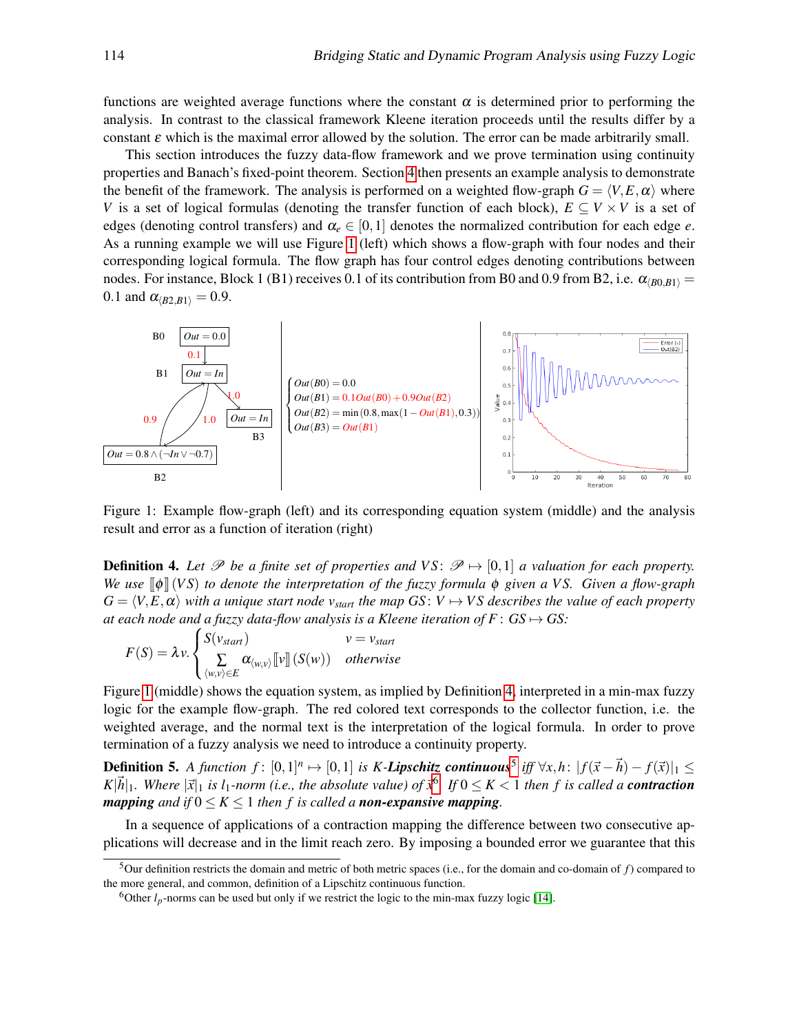functions are weighted average functions where the constant  $\alpha$  is determined prior to performing the analysis. In contrast to the classical framework Kleene iteration proceeds until the results differ by a constant  $\varepsilon$  which is the maximal error allowed by the solution. The error can be made arbitrarily small.

This section introduces the fuzzy data-flow framework and we prove termination using continuity properties and Banach's fixed-point theorem. Section [4](#page-4-0) then presents an example analysis to demonstrate the benefit of the framework. The analysis is performed on a weighted flow-graph  $G = \langle V, E, \alpha \rangle$  where *V* is a set of logical formulas (denoting the transfer function of each block),  $E \subseteq V \times V$  is a set of edges (denoting control transfers) and  $\alpha_e \in [0,1]$  denotes the normalized contribution for each edge *e*. As a running example we will use Figure [1](#page-3-0) (left) which shows a flow-graph with four nodes and their corresponding logical formula. The flow graph has four control edges denoting contributions between nodes. For instance, Block 1 (B1) receives 0.1 of its contribution from B0 and 0.9 from B2, i.e.  $\alpha_{(B0,B1)} =$ 0.1 and  $\alpha_{\langle B2,B1 \rangle} = 0.9$ .

<span id="page-3-0"></span>

Figure 1: Example flow-graph (left) and its corresponding equation system (middle) and the analysis result and error as a function of iteration (right)

<span id="page-3-1"></span>**Definition 4.** Let  $\mathcal{P}$  be a finite set of properties and VS:  $\mathcal{P} \mapsto [0,1]$  a valuation for each property. *We use* [[φ]] (*V S*) *to denote the interpretation of the fuzzy formula* φ *given a V S. Given a flow-graph*  $G = \langle V, E, \alpha \rangle$  *with a unique start node v*<sub>*start</sub> the map GS*:  $V \rightarrow VS$  *describes the value of each property*</sub> *at each node and a fuzzy data-flow analysis is a Kleene iteration of*  $F: GS \mapsto GS$ *:* 

$$
F(S) = \lambda v. \begin{cases} S(v_{start}) & v = v_{start} \\ \sum_{\langle w, v \rangle \in E} \alpha_{\langle w, v \rangle} [v] \left( S(w) \right) & otherwise \end{cases}
$$

Figure [1](#page-3-0) (middle) shows the equation system, as implied by Definition [4,](#page-3-1) interpreted in a min-max fuzzy logic for the example flow-graph. The red colored text corresponds to the collector function, i.e. the weighted average, and the normal text is the interpretation of the logical formula. In order to prove termination of a fuzzy analysis we need to introduce a continuity property.

<span id="page-3-4"></span>**Definition [5](#page-3-2).** A function f:  $[0,1]^n$  →  $[0,1]$  is K-*Lipschitz continuous*<sup>5</sup> iff  $\forall x,h$ :  $|f(\vec{x}-\vec{h}) - f(\vec{x})|_1$  ≤  $K|\vec{h}|_1$ . Where  $|\vec{x}|_1$  *is l*<sub>1</sub>*-norm (i.e., the absolute value) of*  $\vec{x}^6$  $\vec{x}^6$ . *If*  $0 \le K < 1$  *then f is called a contraction mapping and if*  $0 \le K \le 1$  *then f is called a <i>non-expansive* mapping.

In a sequence of applications of a contraction mapping the difference between two consecutive applications will decrease and in the limit reach zero. By imposing a bounded error we guarantee that this

<span id="page-3-2"></span><sup>5</sup>Our definition restricts the domain and metric of both metric spaces (i.e., for the domain and co-domain of *f*) compared to the more general, and common, definition of a Lipschitz continuous function.

<span id="page-3-3"></span><sup>&</sup>lt;sup>6</sup>Other  $l_p$ -norms can be used but only if we restrict the logic to the min-max fuzzy logic [\[14\]](#page-12-6).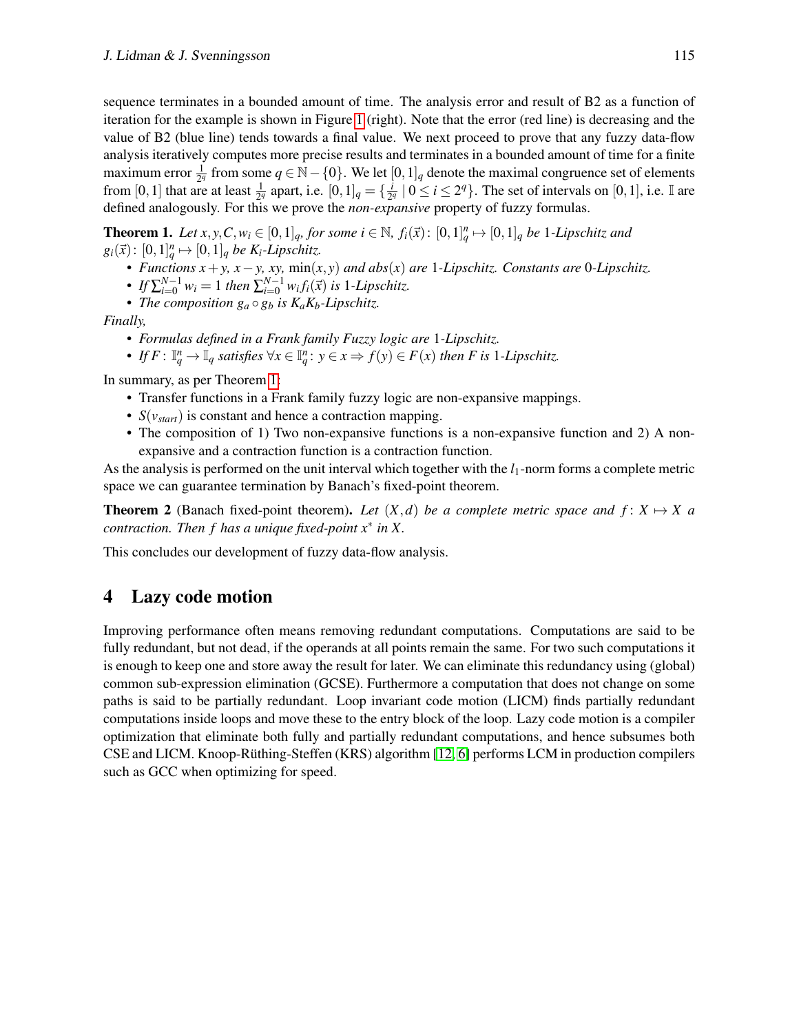sequence terminates in a bounded amount of time. The analysis error and result of B2 as a function of iteration for the example is shown in Figure [1](#page-3-0) (right). Note that the error (red line) is decreasing and the value of B2 (blue line) tends towards a final value. We next proceed to prove that any fuzzy data-flow analysis iteratively computes more precise results and terminates in a bounded amount of time for a finite maximum error  $\frac{1}{2^q}$  from some  $q \in \mathbb{N} - \{0\}$ . We let  $[0,1]_q$  denote the maximal congruence set of elements from [0, 1] that are at least  $\frac{1}{2^q}$  apart, i.e.  $[0, 1]_q = \{\frac{i}{2^q}\}$  $\frac{i}{2^q}$  |  $0 \le i \le 2^q$ }. The set of intervals on [0, 1], i.e. I are defined analogously. For this we prove the *non-expansive* property of fuzzy formulas.

<span id="page-4-1"></span>**Theorem 1.** Let  $x, y, C, w_i \in [0, 1]_q$ , for some  $i \in \mathbb{N}$ ,  $f_i(\vec{x})$ :  $[0, 1]_q^n \mapsto [0, 1]_q$  be 1-Lipschitz and  $g_i(\vec{x})$ :  $[0,1]_q^n \mapsto [0,1]_q$  *be K<sub>i</sub>*-*Lipschitz.* 

- *• Functions x*+*y, x*−*y, xy,* min(*x*, *y*) *and abs*(*x*) *are* 1*-Lipschitz. Constants are* 0*-Lipschitz.*
- *If*  $\sum_{i=0}^{N-1} w_i = 1$  *then*  $\sum_{i=0}^{N-1} w_i f_i(\vec{x})$  *is* 1*-Lipschitz.*
- *The composition*  $g_a \circ g_b$  *is K<sub>a</sub>K<sub>b</sub>*-Lipschitz.

*Finally,*

- *• Formulas defined in a Frank family Fuzzy logic are* 1*-Lipschitz.*
- *• If*  $F: \mathbb{I}_q^n \to \mathbb{I}_q$  *satisfies*  $\forall x \in \mathbb{I}_q^n$ :  $y \in x \Rightarrow f(y) \in F(x)$  *then F is* 1*-Lipschitz.*

In summary, as per Theorem [1:](#page-4-1)

- Transfer functions in a Frank family fuzzy logic are non-expansive mappings.
- *S*(*vstart*) is constant and hence a contraction mapping.
- The composition of 1) Two non-expansive functions is a non-expansive function and 2) A nonexpansive and a contraction function is a contraction function.

As the analysis is performed on the unit interval which together with the  $l_1$ -norm forms a complete metric space we can guarantee termination by Banach's fixed-point theorem.

**Theorem 2** (Banach fixed-point theorem). Let  $(X,d)$  be a complete metric space and  $f: X \mapsto X$  a *contraction. Then f has a unique fixed-point x*<sup>∗</sup> *in X.*

This concludes our development of fuzzy data-flow analysis.

# <span id="page-4-0"></span>4 Lazy code motion

Improving performance often means removing redundant computations. Computations are said to be fully redundant, but not dead, if the operands at all points remain the same. For two such computations it is enough to keep one and store away the result for later. We can eliminate this redundancy using (global) common sub-expression elimination (GCSE). Furthermore a computation that does not change on some paths is said to be partially redundant. Loop invariant code motion (LICM) finds partially redundant computations inside loops and move these to the entry block of the loop. Lazy code motion is a compiler optimization that eliminate both fully and partially redundant computations, and hence subsumes both CSE and LICM. Knoop-Ruthing-Steffen (KRS) algorithm [\[12,](#page-12-7) [6\]](#page-12-8) performs LCM in production compilers ¨ such as GCC when optimizing for speed.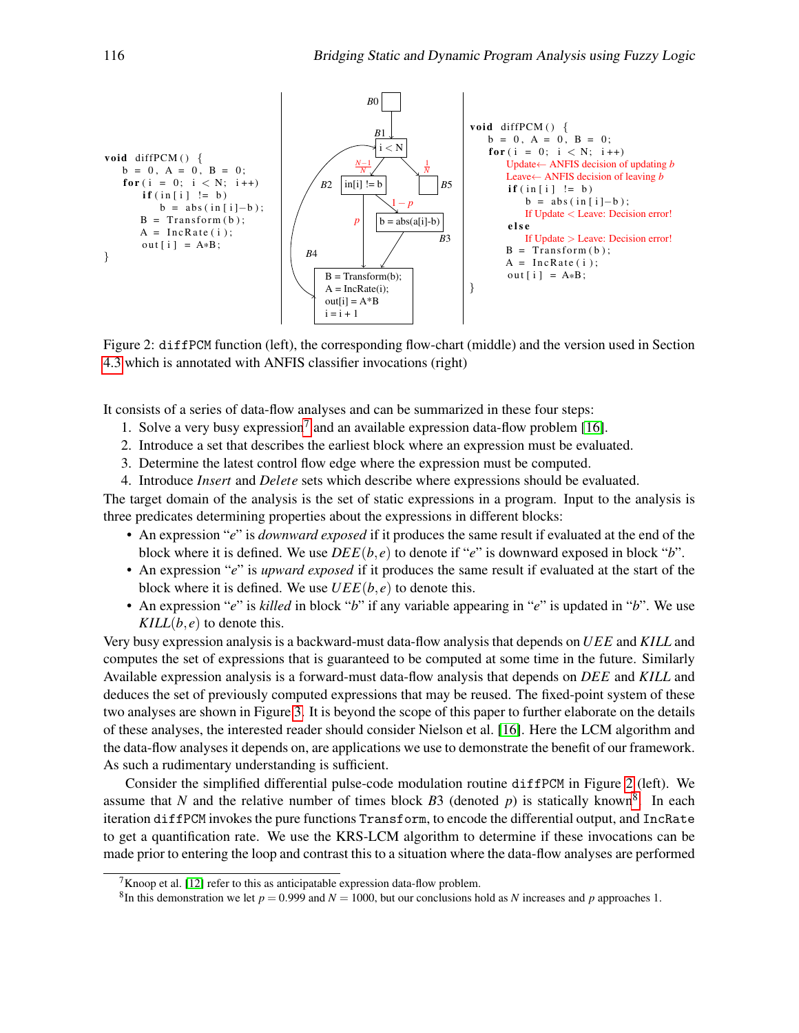<span id="page-5-1"></span>

Figure 2: diffPCM function (left), the corresponding flow-chart (middle) and the version used in Section [4.3](#page-8-0) which is annotated with ANFIS classifier invocations (right)

It consists of a series of data-flow analyses and can be summarized in these four steps:

- 1. Solve a very busy expression<sup>[7](#page-5-0)</sup> and an available expression data-flow problem [\[16\]](#page-12-9).
- 2. Introduce a set that describes the earliest block where an expression must be evaluated.
- 3. Determine the latest control flow edge where the expression must be computed.
- 4. Introduce *Insert* and *Delete* sets which describe where expressions should be evaluated.

The target domain of the analysis is the set of static expressions in a program. Input to the analysis is three predicates determining properties about the expressions in different blocks:

- An expression "*e*" is *downward exposed* if it produces the same result if evaluated at the end of the block where it is defined. We use  $DEE(b, e)$  to denote if "*e*" is downward exposed in block "*b*".
- An expression "*e*" is *upward exposed* if it produces the same result if evaluated at the start of the block where it is defined. We use  $UEE(b, e)$  to denote this.
- An expression "*e*" is *killed* in block "*b*" if any variable appearing in "*e*" is updated in "*b*". We use  $KILL(b, e)$  to denote this.

Very busy expression analysis is a backward-must data-flow analysis that depends on *UEE* and *KILL* and computes the set of expressions that is guaranteed to be computed at some time in the future. Similarly Available expression analysis is a forward-must data-flow analysis that depends on *DEE* and *KILL* and deduces the set of previously computed expressions that may be reused. The fixed-point system of these two analyses are shown in Figure [3.](#page-6-0) It is beyond the scope of this paper to further elaborate on the details of these analyses, the interested reader should consider Nielson et al. [\[16\]](#page-12-9). Here the LCM algorithm and the data-flow analyses it depends on, are applications we use to demonstrate the benefit of our framework. As such a rudimentary understanding is sufficient.

Consider the simplified differential pulse-code modulation routine diffPCM in Figure [2](#page-5-1) (left). We assume that *N* and the relative number of times block  $B3$  (denoted  $p$ ) is statically known<sup>[8](#page-5-2)</sup>. In each iteration diffPCM invokes the pure functions Transform, to encode the differential output, and IncRate to get a quantification rate. We use the KRS-LCM algorithm to determine if these invocations can be made prior to entering the loop and contrast this to a situation where the data-flow analyses are performed

<span id="page-5-0"></span><sup>&</sup>lt;sup>7</sup>Knoop et al. [\[12\]](#page-12-7) refer to this as anticipatable expression data-flow problem.

<span id="page-5-2"></span><sup>&</sup>lt;sup>8</sup>In this demonstration we let  $p = 0.999$  and  $N = 1000$ , but our conclusions hold as *N* increases and *p* approaches 1.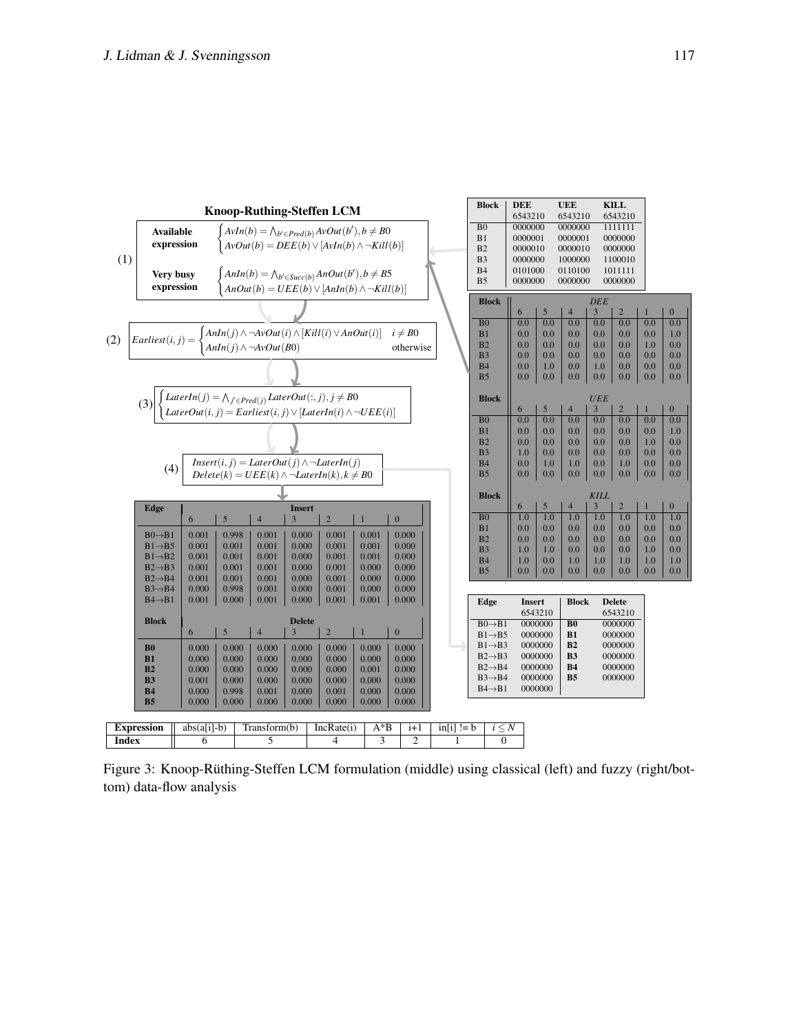<span id="page-6-0"></span>

Figure 3: Knoop-Rüthing-Steffen LCM formulation (middle) using classical (left) and fuzzy (right/bottom) data-flow analysis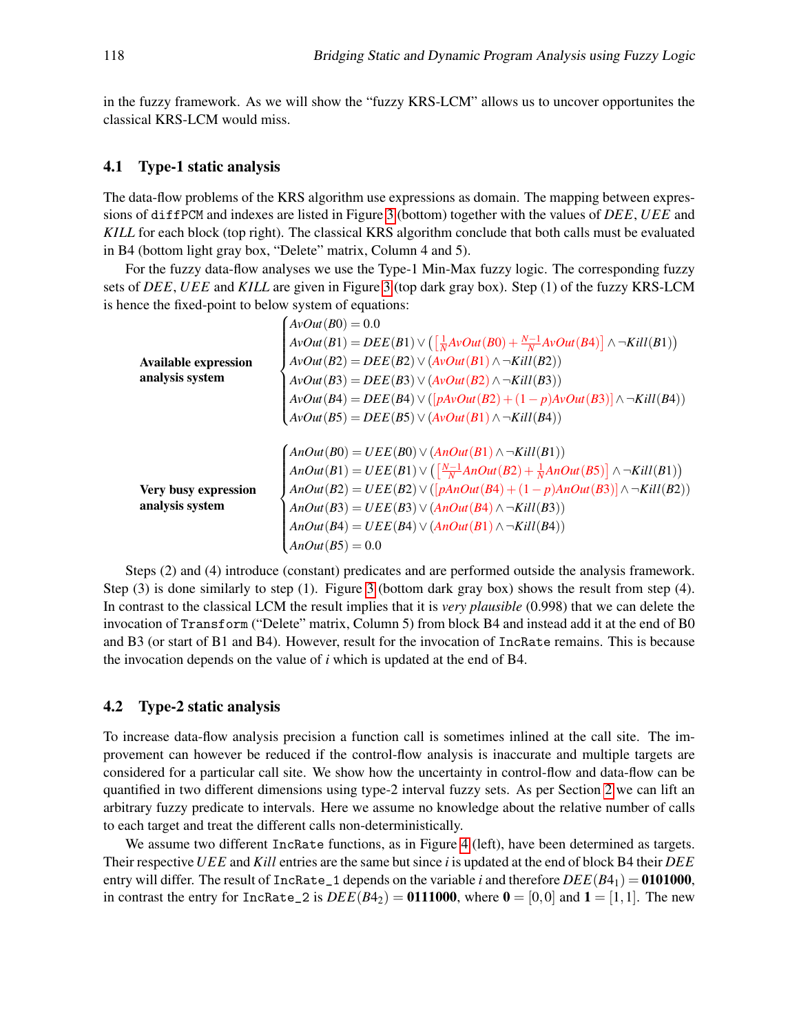in the fuzzy framework. As we will show the "fuzzy KRS-LCM" allows us to uncover opportunites the classical KRS-LCM would miss.

#### <span id="page-7-0"></span>4.1 Type-1 static analysis

The data-flow problems of the KRS algorithm use expressions as domain. The mapping between expressions of diffPCM and indexes are listed in Figure [3](#page-6-0) (bottom) together with the values of *DEE*, *UEE* and *KILL* for each block (top right). The classical KRS algorithm conclude that both calls must be evaluated in B4 (bottom light gray box, "Delete" matrix, Column 4 and 5).

For the fuzzy data-flow analyses we use the Type-1 Min-Max fuzzy logic. The corresponding fuzzy sets of *DEE*, *UEE* and *KILL* are given in Figure [3](#page-6-0) (top dark gray box). Step (1) of the fuzzy KRS-LCM is hence the fixed-point to below system of equations:

|                             | $AvOut(B0) = 0.0$                                                                                              |
|-----------------------------|----------------------------------------------------------------------------------------------------------------|
|                             | $AvOut(B1) = DEE(B1) \vee (\left[\frac{1}{N}AvOut(B0) + \frac{N-1}{N}AvOut(B4)\right] \wedge \neg Kills(C1))$  |
| <b>Available expression</b> | $AvOut(B2) = DEE(B2) \vee (AvOut(B1) \wedge \neg Kills(CB2))$                                                  |
| analysis system             | $AvOut(B3) = DEE(B3) \vee (AvOut(B2) \wedge \neg Kills)$                                                       |
|                             | $AvOut(B4) = DEE(B4) \vee ([pAvOut(B2) + (1-p)AvOut(B3)] \wedge \neg Kills(C4))$                               |
|                             | $A\text{vol}(B5) = DEE(B5) \vee (A\text{vol}(B1) \wedge \neg$ Kill(B4))                                        |
|                             |                                                                                                                |
|                             | $\Lambda nOut(B0) = UEE(B0) \vee (\Lambda nOut(B1) \wedge \neg Kills(CB1))$                                    |
|                             | $AnOut(B1) = UEE(B1) \vee (\left[\frac{N-1}{N}AnOut(B2) + \frac{1}{N}AnOut(B5)\right] \wedge \neg Kills(CB1))$ |
| Very busy expression        | $AnOut(B2) = UEE(B2) \vee ([pAnOut(B4) + (1-p)AnOut(B3)] \wedge \neg Kills(B2))$                               |
| analysis system             | $AnOut(B3) = UEE(B3) \vee (AnOut(B4) \wedge \neg Kills)$                                                       |
|                             | $AnOut(B4) = UEE(B4) \vee (AnOut(B1) \wedge \neg Kills(CB4))$                                                  |
|                             | $AnOut(B5) = 0.0$                                                                                              |

Steps (2) and (4) introduce (constant) predicates and are performed outside the analysis framework. Step (3) is done similarly to step (1). Figure [3](#page-6-0) (bottom dark gray box) shows the result from step (4). In contrast to the classical LCM the result implies that it is *very plausible* (0.998) that we can delete the invocation of Transform ("Delete" matrix, Column 5) from block B4 and instead add it at the end of B0 and B3 (or start of B1 and B4). However, result for the invocation of IncRate remains. This is because the invocation depends on the value of *i* which is updated at the end of B4.

#### 4.2 Type-2 static analysis

To increase data-flow analysis precision a function call is sometimes inlined at the call site. The improvement can however be reduced if the control-flow analysis is inaccurate and multiple targets are considered for a particular call site. We show how the uncertainty in control-flow and data-flow can be quantified in two different dimensions using type-2 interval fuzzy sets. As per Section [2](#page-1-2) we can lift an arbitrary fuzzy predicate to intervals. Here we assume no knowledge about the relative number of calls to each target and treat the different calls non-deterministically.

We assume two different IncRate functions, as in Figure [4](#page-8-1) (left), have been determined as targets. Their respective*UEE* and *Kill* entries are the same but since *i* is updated at the end of block B4 their *DEE* entry will differ. The result of IncRate<sub>1</sub> depends on the variable *i* and therefore  $DEE(B4_1) = 0101000$ , in contrast the entry for  $Inchate_2$  is  $DEE(B4_2) = 0111000$ , where  $0 = [0,0]$  and  $1 = [1,1]$ . The new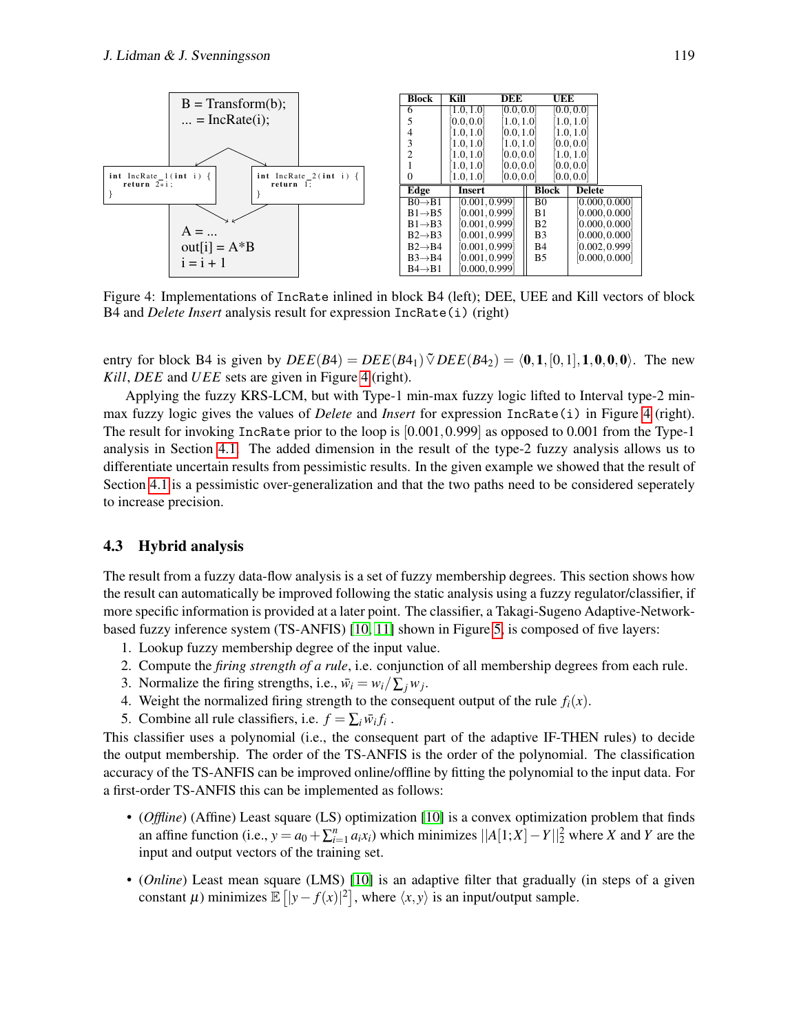<span id="page-8-1"></span>

Figure 4: Implementations of IncRate inlined in block B4 (left); DEE, UEE and Kill vectors of block B4 and *Delete Insert* analysis result for expression IncRate(i) (right)

entry for block B4 is given by  $DEE(B4) = DEE(B4_1) \tilde{\vee} DEE(B4_2) = \langle 0, 1, [0,1], 1,0,0,0 \rangle$ . The new *Kill*, *DEE* and *UEE* sets are given in Figure [4](#page-8-1) (right).

Applying the fuzzy KRS-LCM, but with Type-1 min-max fuzzy logic lifted to Interval type-2 minmax fuzzy logic gives the values of *Delete* and *Insert* for expression IncRate(i) in Figure [4](#page-8-1) (right). The result for invoking IncRate prior to the loop is [0.001,0.999] as opposed to 0.001 from the Type-1 analysis in Section [4.1.](#page-7-0) The added dimension in the result of the type-2 fuzzy analysis allows us to differentiate uncertain results from pessimistic results. In the given example we showed that the result of Section [4.1](#page-7-0) is a pessimistic over-generalization and that the two paths need to be considered seperately to increase precision.

#### <span id="page-8-0"></span>4.3 Hybrid analysis

The result from a fuzzy data-flow analysis is a set of fuzzy membership degrees. This section shows how the result can automatically be improved following the static analysis using a fuzzy regulator/classifier, if more specific information is provided at a later point. The classifier, a Takagi-Sugeno Adaptive-Networkbased fuzzy inference system (TS-ANFIS) [\[10,](#page-12-10) [11\]](#page-12-11) shown in Figure [5,](#page-9-0) is composed of five layers:

- 1. Lookup fuzzy membership degree of the input value.
- 2. Compute the *firing strength of a rule*, i.e. conjunction of all membership degrees from each rule.
- 3. Normalize the firing strengths, i.e.,  $\bar{w}_i = w_i / \sum_j w_j$ .
- 4. Weight the normalized firing strength to the consequent output of the rule  $f_i(x)$ .
- 5. Combine all rule classifiers, i.e.  $f = \sum_i \overline{w_i} f_i$ .

This classifier uses a polynomial (i.e., the consequent part of the adaptive IF-THEN rules) to decide the output membership. The order of the TS-ANFIS is the order of the polynomial. The classification accuracy of the TS-ANFIS can be improved online/offline by fitting the polynomial to the input data. For a first-order TS-ANFIS this can be implemented as follows:

- (*Offline*) (Affine) Least square (LS) optimization [\[10\]](#page-12-10) is a convex optimization problem that finds an affine function (i.e.,  $y = a_0 + \sum_{i=1}^n a_i x_i$ ) which minimizes  $||A[1;X] - Y||_2^2$  where *X* and *Y* are the input and output vectors of the training set.
- (*Online*) Least mean square (LMS) [\[10\]](#page-12-10) is an adaptive filter that gradually (in steps of a given constant  $\mu$ ) minimizes  $\mathbb{E}[|y - f(x)|^2]$ , where  $\langle x, y \rangle$  is an input/output sample.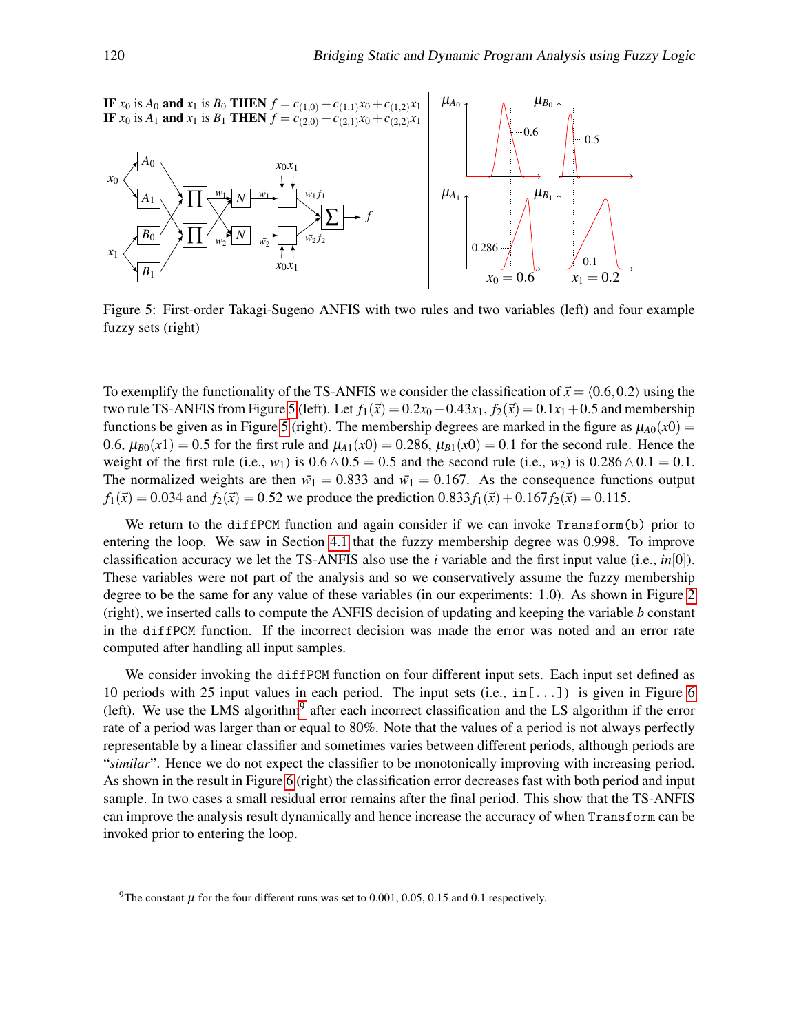<span id="page-9-0"></span>

Figure 5: First-order Takagi-Sugeno ANFIS with two rules and two variables (left) and four example fuzzy sets (right)

To exemplify the functionality of the TS-ANFIS we consider the classification of  $\vec{x} = \langle 0.6, 0.2 \rangle$  using the two rule TS-ANFIS from Figure [5](#page-9-0) (left). Let  $f_1(\vec{x}) = 0.2x_0 - 0.43x_1$ ,  $f_2(\vec{x}) = 0.1x_1 + 0.5$  and membership functions be given as in Figure [5](#page-9-0) (right). The membership degrees are marked in the figure as  $\mu_{A0}(x0)$  = 0.6,  $\mu_{B0}(x1) = 0.5$  for the first rule and  $\mu_{A1}(x0) = 0.286$ ,  $\mu_{B1}(x0) = 0.1$  for the second rule. Hence the weight of the first rule (i.e., *w*<sub>1</sub>) is  $0.6 \land 0.5 = 0.5$  and the second rule (i.e., *w*<sub>2</sub>) is  $0.286 \land 0.1 = 0.1$ . The normalized weights are then  $\bar{w}_1 = 0.833$  and  $\bar{w}_1 = 0.167$ . As the consequence functions output  $f_1(\vec{x}) = 0.034$  and  $f_2(\vec{x}) = 0.52$  we produce the prediction  $0.833 f_1(\vec{x}) + 0.167 f_2(\vec{x}) = 0.115$ .

We return to the diffPCM function and again consider if we can invoke Transform (b) prior to entering the loop. We saw in Section [4.1](#page-7-0) that the fuzzy membership degree was 0.998. To improve classification accuracy we let the TS-ANFIS also use the *i* variable and the first input value (i.e., *in*[0]). These variables were not part of the analysis and so we conservatively assume the fuzzy membership degree to be the same for any value of these variables (in our experiments: 1.0). As shown in Figure [2](#page-5-1) (right), we inserted calls to compute the ANFIS decision of updating and keeping the variable *b* constant in the diffPCM function. If the incorrect decision was made the error was noted and an error rate computed after handling all input samples.

We consider invoking the diffPCM function on four different input sets. Each input set defined as 10 periods with 25 input values in each period. The input sets  $(i.e., in [...])$  is given in Figure [6](#page-10-0) (left). We use the LMS algorithm<sup>[9](#page-9-1)</sup> after each incorrect classification and the LS algorithm if the error rate of a period was larger than or equal to 80%. Note that the values of a period is not always perfectly representable by a linear classifier and sometimes varies between different periods, although periods are "*similar*". Hence we do not expect the classifier to be monotonically improving with increasing period. As shown in the result in Figure [6](#page-10-0) (right) the classification error decreases fast with both period and input sample. In two cases a small residual error remains after the final period. This show that the TS-ANFIS can improve the analysis result dynamically and hence increase the accuracy of when Transform can be invoked prior to entering the loop.

<span id="page-9-1"></span><sup>&</sup>lt;sup>9</sup>The constant  $\mu$  for the four different runs was set to 0.001, 0.05, 0.15 and 0.1 respectively.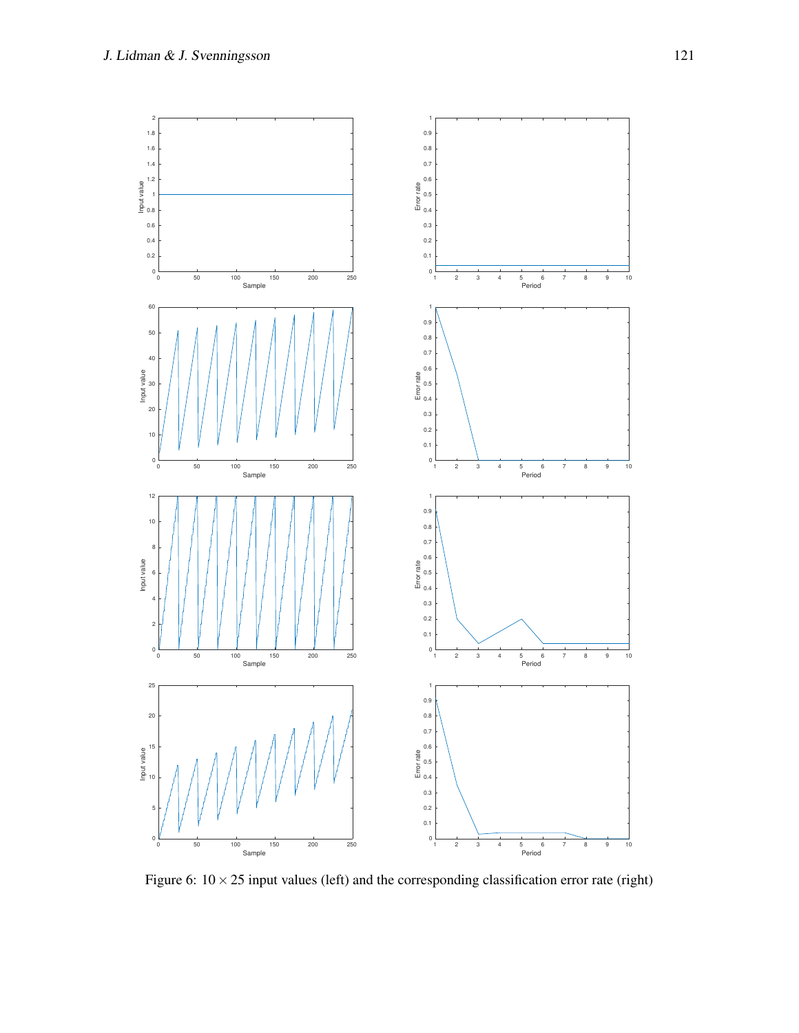<span id="page-10-0"></span>

Figure 6:  $10 \times 25$  input values (left) and the corresponding classification error rate (right)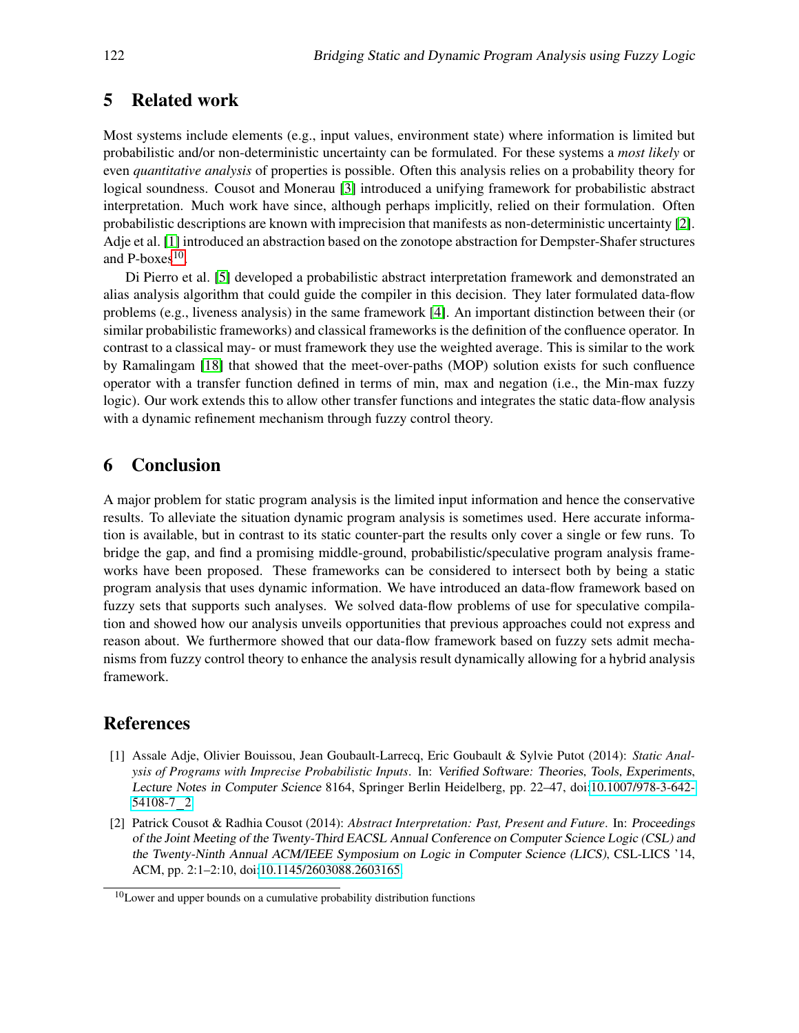### 5 Related work

Most systems include elements (e.g., input values, environment state) where information is limited but probabilistic and/or non-deterministic uncertainty can be formulated. For these systems a *most likely* or even *quantitative analysis* of properties is possible. Often this analysis relies on a probability theory for logical soundness. Cousot and Monerau [\[3\]](#page-12-12) introduced a unifying framework for probabilistic abstract interpretation. Much work have since, although perhaps implicitly, relied on their formulation. Often probabilistic descriptions are known with imprecision that manifests as non-deterministic uncertainty [\[2\]](#page-11-0). Adje et al. [\[1\]](#page-11-1) introduced an abstraction based on the zonotope abstraction for Dempster-Shafer structures and  $P\text{-boxes}^{10}$  $P\text{-boxes}^{10}$  $P\text{-boxes}^{10}$ .

Di Pierro et al. [\[5\]](#page-12-13) developed a probabilistic abstract interpretation framework and demonstrated an alias analysis algorithm that could guide the compiler in this decision. They later formulated data-flow problems (e.g., liveness analysis) in the same framework [\[4\]](#page-12-14). An important distinction between their (or similar probabilistic frameworks) and classical frameworks is the definition of the confluence operator. In contrast to a classical may- or must framework they use the weighted average. This is similar to the work by Ramalingam [\[18\]](#page-12-15) that showed that the meet-over-paths (MOP) solution exists for such confluence operator with a transfer function defined in terms of min, max and negation (i.e., the Min-max fuzzy logic). Our work extends this to allow other transfer functions and integrates the static data-flow analysis with a dynamic refinement mechanism through fuzzy control theory.

# 6 Conclusion

A major problem for static program analysis is the limited input information and hence the conservative results. To alleviate the situation dynamic program analysis is sometimes used. Here accurate information is available, but in contrast to its static counter-part the results only cover a single or few runs. To bridge the gap, and find a promising middle-ground, probabilistic/speculative program analysis frameworks have been proposed. These frameworks can be considered to intersect both by being a static program analysis that uses dynamic information. We have introduced an data-flow framework based on fuzzy sets that supports such analyses. We solved data-flow problems of use for speculative compilation and showed how our analysis unveils opportunities that previous approaches could not express and reason about. We furthermore showed that our data-flow framework based on fuzzy sets admit mechanisms from fuzzy control theory to enhance the analysis result dynamically allowing for a hybrid analysis framework.

# References

- <span id="page-11-1"></span>[1] Assale Adje, Olivier Bouissou, Jean Goubault-Larrecq, Eric Goubault & Sylvie Putot (2014): *Static Analysis of Programs with Imprecise Probabilistic Inputs*. In: Verified Software: Theories, Tools, Experiments, Lecture Notes in Computer Science 8164, Springer Berlin Heidelberg, pp. 22–47, doi[:10.1007/978-3-642-](http://dx.doi.org/10.1007/978-3-642-54108-7_2) [54108-7](http://dx.doi.org/10.1007/978-3-642-54108-7_2) 2.
- <span id="page-11-0"></span>[2] Patrick Cousot & Radhia Cousot (2014): *Abstract Interpretation: Past, Present and Future*. In: Proceedings of the Joint Meeting of the Twenty-Third EACSL Annual Conference on Computer Science Logic (CSL) and the Twenty-Ninth Annual ACM/IEEE Symposium on Logic in Computer Science (LICS), CSL-LICS '14, ACM, pp. 2:1–2:10, doi[:10.1145/2603088.2603165.](http://dx.doi.org/10.1145/2603088.2603165)

<span id="page-11-2"></span><sup>&</sup>lt;sup>10</sup>Lower and upper bounds on a cumulative probability distribution functions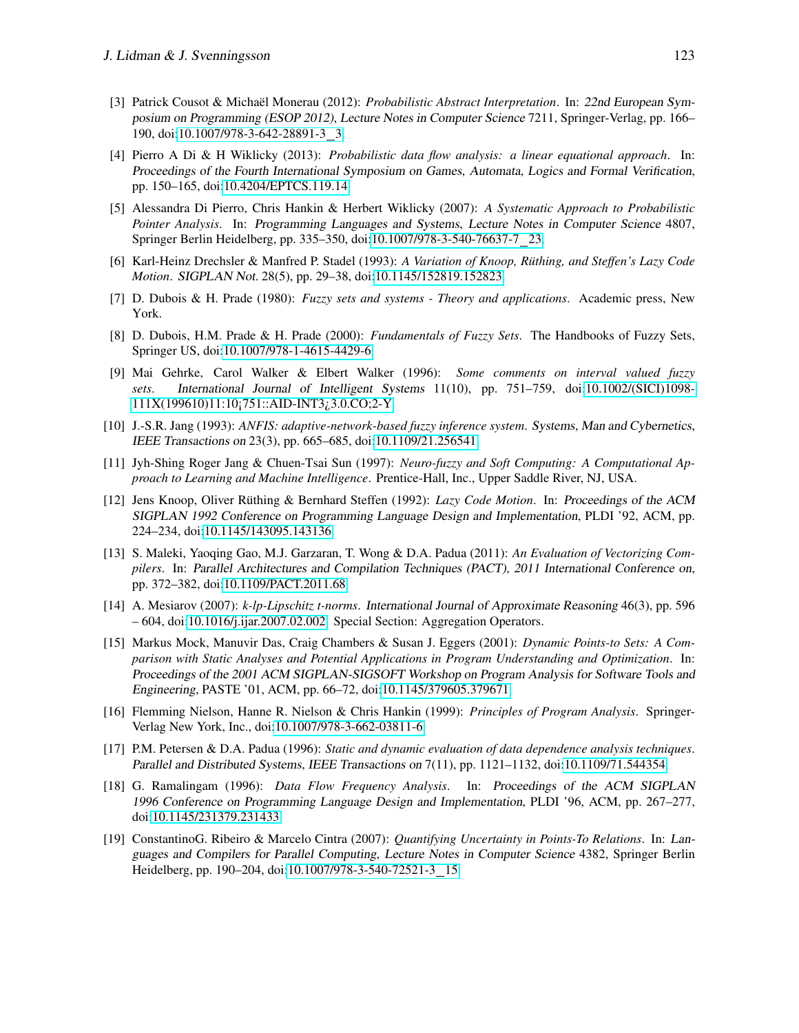- <span id="page-12-12"></span>[3] Patrick Cousot & Michaël Monerau (2012): *Probabilistic Abstract Interpretation*. In: 22nd European Symposium on Programming (ESOP 2012), Lecture Notes in Computer Science 7211, Springer-Verlag, pp. 166– 190, doi[:10.1007/978-3-642-28891-3](http://dx.doi.org/10.1007/978-3-642-28891-3_3) 3.
- <span id="page-12-14"></span>[4] Pierro A Di & H Wiklicky (2013): *Probabilistic data flow analysis: a linear equational approach*. In: Proceedings of the Fourth International Symposium on Games, Automata, Logics and Formal Verification, pp. 150–165, doi[:10.4204/EPTCS.119.14.](http://dx.doi.org/10.4204/EPTCS.119.14)
- <span id="page-12-13"></span>[5] Alessandra Di Pierro, Chris Hankin & Herbert Wiklicky (2007): *A Systematic Approach to Probabilistic Pointer Analysis*. In: Programming Languages and Systems, Lecture Notes in Computer Science 4807, Springer Berlin Heidelberg, pp. 335–350, doi[:10.1007/978-3-540-76637-7](http://dx.doi.org/10.1007/978-3-540-76637-7_23) 23.
- <span id="page-12-8"></span>[6] Karl-Heinz Drechsler & Manfred P. Stadel (1993): *A Variation of Knoop, Ruthing, and Steffen's Lazy Code ¨ Motion*. SIGPLAN Not. 28(5), pp. 29–38, doi[:10.1145/152819.152823.](http://dx.doi.org/10.1145/152819.152823)
- <span id="page-12-4"></span>[7] D. Dubois & H. Prade (1980): *Fuzzy sets and systems - Theory and applications*. Academic press, New York.
- <span id="page-12-3"></span>[8] D. Dubois, H.M. Prade & H. Prade (2000): *Fundamentals of Fuzzy Sets*. The Handbooks of Fuzzy Sets, Springer US, doi[:10.1007/978-1-4615-4429-6.](http://dx.doi.org/10.1007/978-1-4615-4429-6)
- <span id="page-12-5"></span>[9] Mai Gehrke, Carol Walker & Elbert Walker (1996): *Some comments on interval valued fuzzy sets*. International Journal of Intelligent Systems 11(10), pp. 751–759, doi[:10.1002/\(SICI\)1098-](http://dx.doi.org/10.1002/(SICI)1098-111X(199610)11:10<751::AID-INT3>3.0.CO;2-Y) [111X\(199610\)11:10¡751::AID-INT3¿3.0.CO;2-Y.](http://dx.doi.org/10.1002/(SICI)1098-111X(199610)11:10<751::AID-INT3>3.0.CO;2-Y)
- <span id="page-12-10"></span>[10] J.-S.R. Jang (1993): *ANFIS: adaptive-network-based fuzzy inference system*. Systems, Man and Cybernetics, IEEE Transactions on 23(3), pp. 665–685, doi[:10.1109/21.256541.](http://dx.doi.org/10.1109/21.256541)
- <span id="page-12-11"></span>[11] Jyh-Shing Roger Jang & Chuen-Tsai Sun (1997): *Neuro-fuzzy and Soft Computing: A Computational Approach to Learning and Machine Intelligence*. Prentice-Hall, Inc., Upper Saddle River, NJ, USA.
- <span id="page-12-7"></span>[12] Jens Knoop, Oliver Rüthing & Bernhard Steffen (1992): Lazy Code Motion. In: Proceedings of the ACM SIGPLAN 1992 Conference on Programming Language Design and Implementation, PLDI '92, ACM, pp. 224–234, doi[:10.1145/143095.143136.](http://dx.doi.org/10.1145/143095.143136)
- [13] S. Maleki, Yaoqing Gao, M.J. Garzaran, T. Wong & D.A. Padua (2011): *An Evaluation of Vectorizing Compilers*. In: Parallel Architectures and Compilation Techniques (PACT), 2011 International Conference on, pp. 372–382, doi[:10.1109/PACT.2011.68.](http://dx.doi.org/10.1109/PACT.2011.68)
- <span id="page-12-6"></span>[14] A. Mesiarov (2007): *k-lp-Lipschitz t-norms*. International Journal of Approximate Reasoning 46(3), pp. 596 – 604, doi[:10.1016/j.ijar.2007.02.002.](http://dx.doi.org/10.1016/j.ijar.2007.02.002) Special Section: Aggregation Operators.
- <span id="page-12-0"></span>[15] Markus Mock, Manuvir Das, Craig Chambers & Susan J. Eggers (2001): *Dynamic Points-to Sets: A Comparison with Static Analyses and Potential Applications in Program Understanding and Optimization*. In: Proceedings of the 2001 ACM SIGPLAN-SIGSOFT Workshop on Program Analysis for Software Tools and Engineering, PASTE '01, ACM, pp. 66–72, doi[:10.1145/379605.379671.](http://dx.doi.org/10.1145/379605.379671)
- <span id="page-12-9"></span>[16] Flemming Nielson, Hanne R. Nielson & Chris Hankin (1999): *Principles of Program Analysis*. Springer-Verlag New York, Inc., doi[:10.1007/978-3-662-03811-6.](http://dx.doi.org/10.1007/978-3-662-03811-6)
- <span id="page-12-2"></span>[17] P.M. Petersen & D.A. Padua (1996): *Static and dynamic evaluation of data dependence analysis techniques*. Parallel and Distributed Systems, IEEE Transactions on 7(11), pp. 1121–1132, doi[:10.1109/71.544354.](http://dx.doi.org/10.1109/71.544354)
- <span id="page-12-15"></span>[18] G. Ramalingam (1996): *Data Flow Frequency Analysis*. In: Proceedings of the ACM SIGPLAN 1996 Conference on Programming Language Design and Implementation, PLDI '96, ACM, pp. 267–277, doi[:10.1145/231379.231433.](http://dx.doi.org/10.1145/231379.231433)
- <span id="page-12-1"></span>[19] ConstantinoG. Ribeiro & Marcelo Cintra (2007): *Quantifying Uncertainty in Points-To Relations*. In: Languages and Compilers for Parallel Computing, Lecture Notes in Computer Science 4382, Springer Berlin Heidelberg, pp. 190–204, doi[:10.1007/978-3-540-72521-3](http://dx.doi.org/10.1007/978-3-540-72521-3_15) 15.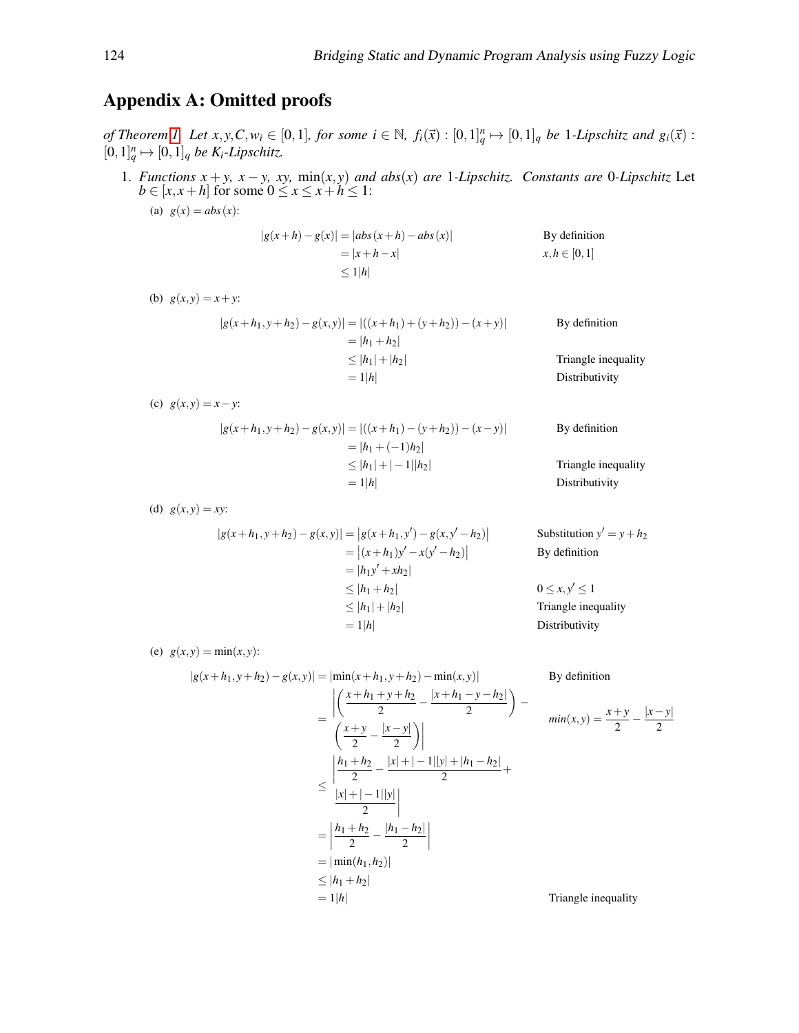# Appendix A: Omitted proofs

of Theorem [1.](#page-4-1) Let  $x, y, C, w_i \in [0, 1]$ , for some  $i \in \mathbb{N}$ ,  $f_i(\vec{x}) : [0, 1]_q^n \mapsto [0, 1]_q$  be 1-Lipschitz and  $g_i(\vec{x})$ :  $[0,1]^n_q \mapsto [0,1]_q$  *be K*<sup>*i*</sup>-*Lipschitz.* 

1. *Functions*  $x + y$ ,  $x - y$ ,  $xy$ ,  $\min(x, y)$  *and abs*(*x*) *are* 1*-Lipschitz. Constants are* 0*-Lipschitz* Let  $b \in [x, x+h]$  for some  $0 \le x \le x+h \le 1$ :

(a)  $g(x) = abs(x)$ :

$$
|g(x+h) - g(x)| = |abs(x+h) - abs(x)|
$$
  
\n
$$
= |x+h-x|
$$
  
\nBy definition  
\n
$$
x, h \in [0,1]
$$
  
\n
$$
\le 1|h|
$$

(b)  $g(x, y) = x + y$ :

$$
|g(x+h_1, y+h_2) - g(x,y)| = |((x+h_1) + (y+h_2)) - (x+y)|
$$
 By definition  
\n
$$
= |h_1 + h_2|
$$
  
\n
$$
\leq |h_1| + |h_2|
$$
Triangle inequality  
\n
$$
= 1|h|
$$
 Distributivity

<span id="page-13-0"></span>(c)  $g(x, y) = x - y$ :

$$
|g(x+h_1, y+h_2) - g(x,y)| = |((x+h_1) - (y+h_2)) - (x-y)|
$$
 By definition  
\n
$$
= |h_1 + (-1)h_2|
$$
  
\n
$$
\le |h_1| + |-1||h_2|
$$
Triangle inequality  
\n
$$
= 1|h|
$$
 Distributivity

<span id="page-13-2"></span>(d)  $g(x, y) = xy$ :

$$
|g(x+h_1, y+h_2) - g(x,y)| = |g(x+h_1, y') - g(x, y'-h_2)|
$$
 Substitution y' = y + h<sub>2</sub>  
\n= |(x+h\_1)y' - x(y'-h\_2)|  
\n= |h\_1y' + xh\_2|  
\n\le |h\_1 + h\_2|  
\n= 1|h|

<span id="page-13-1"></span>(e)  $g(x, y) = min(x, y)$ :

$$
|g(x+h_1, y+h_2) - g(x, y)| = |\min(x+h_1, y+h_2) - \min(x, y)|
$$
 By definition  
\n
$$
= \left| \frac{x+h_1 + y+h_2}{2} - \frac{|x+h_1 - y - h_2|}{2} \right| - \frac{y}{2}
$$
  
\n
$$
\left| \frac{x+y}{2} - \frac{|x-y|}{2} \right|
$$
  
\n
$$
\leq \left| \frac{h_1 + h_2}{2} - \frac{|x| + |-1||y| + |h_1 - h_2|}{2} + \frac{|x| + |-1||y|}{2} \right|
$$
  
\n
$$
= \left| \frac{h_1 + h_2}{2} - \frac{|h_1 - h_2|}{2} \right|
$$
  
\n
$$
= |\min(h_1, h_2)|
$$
  
\n
$$
\leq |h_1 + h_2|
$$
  
\n
$$
= 1|h|
$$
Triangle inequality

$$
min(x,y) = \frac{x+y}{2} - \frac{|x-y|}{2}
$$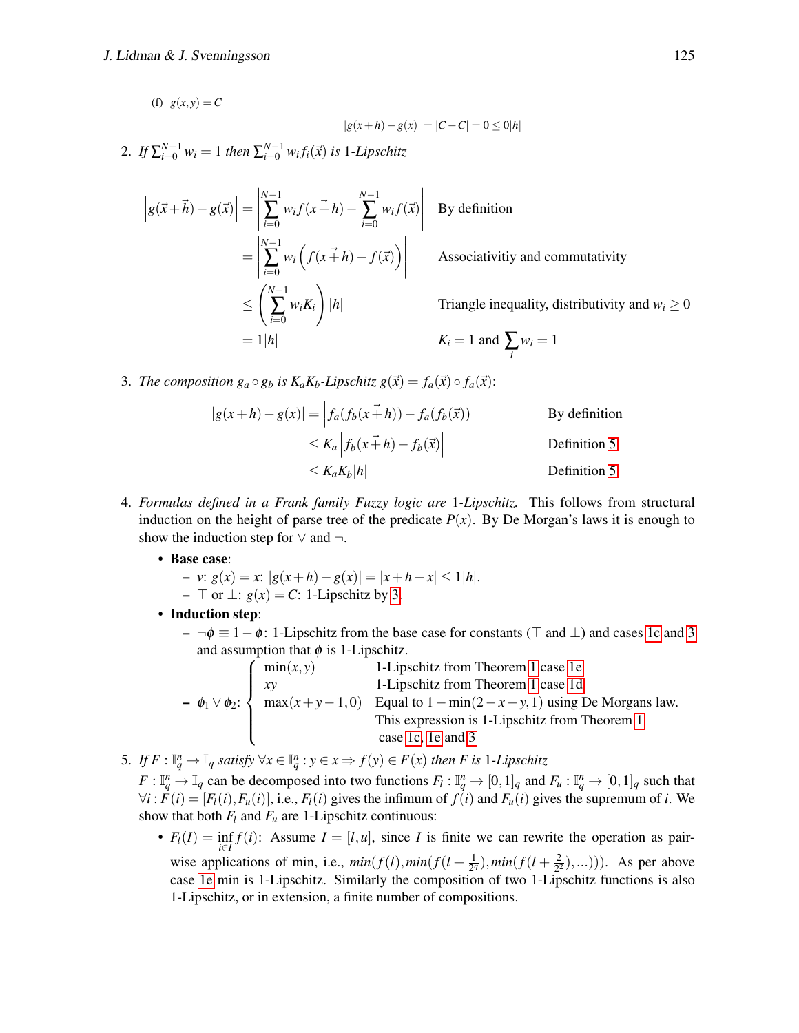(f)  $g(x, y) = C$ 

$$
|g(x+h) - g(x)| = |C - C| = 0 \le 0|h|
$$

2. If  $\sum_{i=0}^{N-1} w_i = 1$  then  $\sum_{i=0}^{N-1} w_i f_i(\vec{x})$  is 1-Lipschitz

$$
\begin{aligned}\n\left| g(\vec{x} + \vec{h}) - g(\vec{x}) \right| &= \left| \sum_{i=0}^{N-1} w_i f(x + h) - \sum_{i=0}^{N-1} w_i f(\vec{x}) \right| \quad \text{By definition} \\
&= \left| \sum_{i=0}^{N-1} w_i \left( f(x + h) - f(\vec{x}) \right) \right| \quad \text{Associativity and commutativity} \\
&\le \left( \sum_{i=0}^{N-1} w_i K_i \right) |h| \quad \text{Triangle inequality, distributivity} \\
&= 1|h| \quad K_i = 1 \text{ and } \sum_i w_i = 1\n\end{aligned}
$$

<span id="page-14-0"></span>3. *The composition*  $g_a \circ g_b$  *is K<sub>a</sub>K<sub>b</sub>*-*Lipschitz*  $g(\vec{x}) = f_a(\vec{x}) \circ f_a(\vec{x})$ :

$$
|g(x+h) - g(x)| = |f_a(f_b(x+h)) - f_a(f_b(\vec{x}))|
$$
 By definition  
\n
$$
\leq K_a |f_b(x+h) - f_b(\vec{x})|
$$
Definition 5  
\n
$$
\leq K_a K_b |h|
$$
Definition 5

- 4. *Formulas defined in a Frank family Fuzzy logic are* 1*-Lipschitz.* This follows from structural induction on the height of parse tree of the predicate  $P(x)$ . By De Morgan's laws it is enough to show the induction step for  $\vee$  and  $\neg$ .
	- Base case:
		- *v*: *g*(*x*) = *x*: |*g*(*x*+*h*)−*g*(*x*)| = |*x*+*h*−*x*| ≤ 1|*h*|.
		- $\overline{\phantom{a}}$   $\overline{\phantom{a}}$  or  $\perp$ : *g*(*x*) = *C*: 1-Lipschitz by [3.](#page-14-0)
	- Induction step:

 $\phi = \neg \phi \equiv 1 - \phi$ : 1-Lipschitz from the base case for constants ( $\top$  and  $\bot$ ) and cases [1c](#page-13-0) and [3](#page-14-0) and assumption that  $\phi$  is 1-Lipschitz.

$$
-\phi_1 \vee \phi_2
$$
: 
$$
\begin{cases}\n\min(x, y) & 1-\text{Lipschitz from Theorem 1 case 1e} \\
xy & 1-\text{Lipschitz from Theorem 1 case 1d} \\
\max(x+y-1, 0) & \text{Equal to } 1-\min(2-x-y, 1) \text{ using De Morgans law.} \\
\text{This expression is 1-Lipschitz from Theorem 1 case 1c, 1e and 3}\n\end{cases}
$$

5. *If*  $F: \mathbb{I}_q^n \to \mathbb{I}_q$  satisfy  $\forall x \in \mathbb{I}_q^n : y \in x \Rightarrow f(y) \in F(x)$  then F is 1-Lipschitz

 $F: \mathbb{I}_q^n \to \mathbb{I}_q$  can be decomposed into two functions  $F_l: \mathbb{I}_q^n \to [0,1]_q$  and  $F_u: \mathbb{I}_q^n \to [0,1]_q$  such that  $\forall i$ :  $F(i) = [F_i(i), F_u(i)]$ , i.e.,  $F_i(i)$  gives the infimum of  $f(i)$  and  $F_u(i)$  gives the supremum of i. We show that both  $F_l$  and  $F_u$  are 1-Lipschitz continuous:

•  $F_l(I) = \inf_{i \in I} f(i)$ : Assume  $I = [l, u]$ , since *I* is finite we can rewrite the operation as pairwise applications of min, i.e.,  $min(f(l), min(f(l+\frac{1}{2^l}))$  $\frac{1}{2^q}$ ), min $(f(l+\frac{2}{2^2}))$  $(\frac{2}{2^2}), \ldots$ )). As per above case [1e](#page-13-1) min is 1-Lipschitz. Similarly the composition of two 1-Lipschitz functions is also 1-Lipschitz, or in extension, a finite number of compositions.

and  $w_i \geq 0$